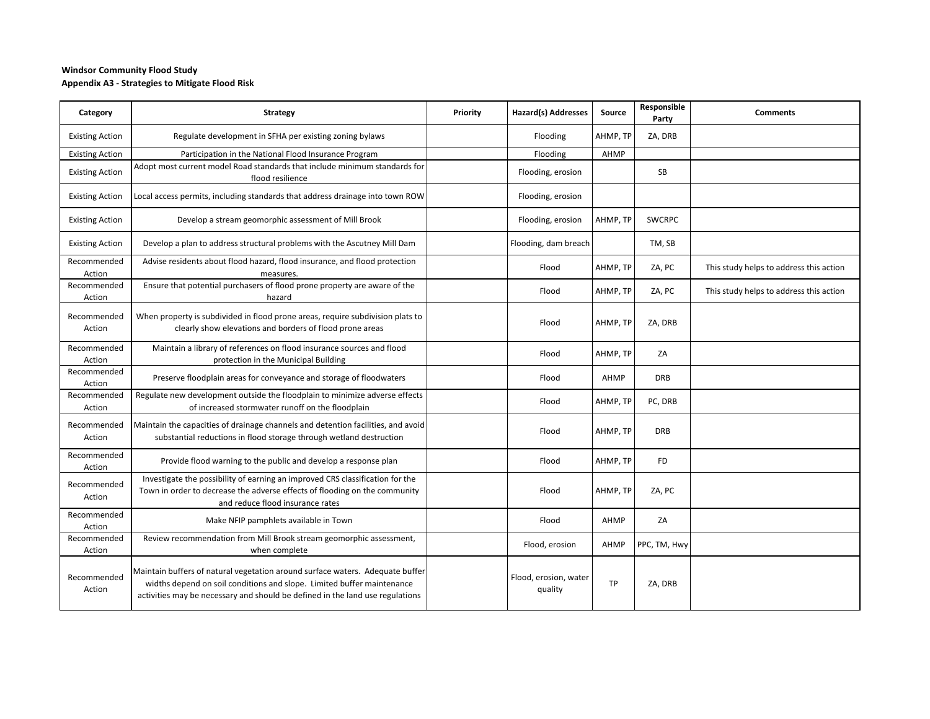## **Windsor Community Flood Study Appendix A3 - Strategies to Mitigate Flood Risk**

| Category               | <b>Strategy</b>                                                                                                                                                                                                                          | Priority | Hazard(s) Addresses              | Source    | Responsible<br>Party | <b>Comments</b>                         |
|------------------------|------------------------------------------------------------------------------------------------------------------------------------------------------------------------------------------------------------------------------------------|----------|----------------------------------|-----------|----------------------|-----------------------------------------|
| <b>Existing Action</b> | Regulate development in SFHA per existing zoning bylaws                                                                                                                                                                                  |          | Flooding                         | AHMP, TP  | ZA, DRB              |                                         |
| <b>Existing Action</b> | Participation in the National Flood Insurance Program                                                                                                                                                                                    |          | Flooding                         | AHMP      |                      |                                         |
| <b>Existing Action</b> | Adopt most current model Road standards that include minimum standards for<br>flood resilience                                                                                                                                           |          | Flooding, erosion                |           | SB                   |                                         |
| <b>Existing Action</b> | Local access permits, including standards that address drainage into town ROW                                                                                                                                                            |          | Flooding, erosion                |           |                      |                                         |
| <b>Existing Action</b> | Develop a stream geomorphic assessment of Mill Brook                                                                                                                                                                                     |          | Flooding, erosion                | AHMP, TP  | <b>SWCRPC</b>        |                                         |
| <b>Existing Action</b> | Develop a plan to address structural problems with the Ascutney Mill Dam                                                                                                                                                                 |          | Flooding, dam breach             |           | TM, SB               |                                         |
| Recommended<br>Action  | Advise residents about flood hazard, flood insurance, and flood protection<br>measures.                                                                                                                                                  |          | Flood                            | AHMP, TP  | ZA, PC               | This study helps to address this action |
| Recommended<br>Action  | Ensure that potential purchasers of flood prone property are aware of the<br>hazard                                                                                                                                                      |          | Flood                            | AHMP, TP  | ZA, PC               | This study helps to address this action |
| Recommended<br>Action  | When property is subdivided in flood prone areas, require subdivision plats to<br>clearly show elevations and borders of flood prone areas                                                                                               |          | Flood                            | AHMP, TP  | ZA, DRB              |                                         |
| Recommended<br>Action  | Maintain a library of references on flood insurance sources and flood<br>protection in the Municipal Building                                                                                                                            |          | Flood                            | AHMP, TP  | ZA                   |                                         |
| Recommended<br>Action  | Preserve floodplain areas for conveyance and storage of floodwaters                                                                                                                                                                      |          | Flood                            | AHMP      | <b>DRB</b>           |                                         |
| Recommended<br>Action  | Regulate new development outside the floodplain to minimize adverse effects<br>of increased stormwater runoff on the floodplain                                                                                                          |          | Flood                            | AHMP, TP  | PC, DRB              |                                         |
| Recommended<br>Action  | Maintain the capacities of drainage channels and detention facilities, and avoid<br>substantial reductions in flood storage through wetland destruction                                                                                  |          | Flood                            | AHMP, TP  | <b>DRB</b>           |                                         |
| Recommended<br>Action  | Provide flood warning to the public and develop a response plan                                                                                                                                                                          |          | Flood                            | AHMP, TP  | <b>FD</b>            |                                         |
| Recommended<br>Action  | Investigate the possibility of earning an improved CRS classification for the<br>Town in order to decrease the adverse effects of flooding on the community<br>and reduce flood insurance rates                                          |          | Flood                            | AHMP, TP  | ZA, PC               |                                         |
| Recommended<br>Action  | Make NFIP pamphlets available in Town                                                                                                                                                                                                    |          | Flood                            | AHMP      | ZA                   |                                         |
| Recommended<br>Action  | Review recommendation from Mill Brook stream geomorphic assessment,<br>when complete                                                                                                                                                     |          | Flood, erosion                   | AHMP      | PPC, TM, Hwy         |                                         |
| Recommended<br>Action  | Maintain buffers of natural vegetation around surface waters. Adequate buffer<br>widths depend on soil conditions and slope. Limited buffer maintenance<br>activities may be necessary and should be defined in the land use regulations |          | Flood, erosion, water<br>quality | <b>TP</b> | ZA, DRB              |                                         |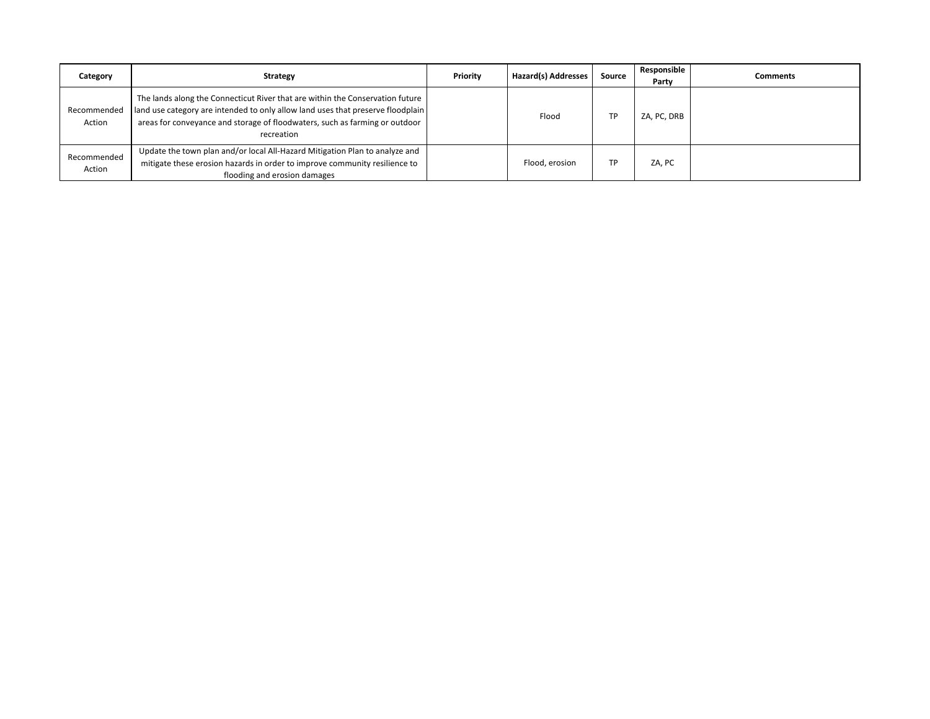| Category              | <b>Strategy</b>                                                                                                                                                                                                                                               | Priority | Hazard(s) Addresses | Source | Responsible<br>Party | <b>Comments</b> |
|-----------------------|---------------------------------------------------------------------------------------------------------------------------------------------------------------------------------------------------------------------------------------------------------------|----------|---------------------|--------|----------------------|-----------------|
| Recommended<br>Action | The lands along the Connecticut River that are within the Conservation future<br>land use category are intended to only allow land uses that preserve floodplain<br>areas for conveyance and storage of floodwaters, such as farming or outdoor<br>recreation |          | Flood               | ТP     | ZA, PC, DRB          |                 |
| Recommended<br>Action | Update the town plan and/or local All-Hazard Mitigation Plan to analyze and<br>mitigate these erosion hazards in order to improve community resilience to<br>flooding and erosion damages                                                                     |          | Flood, erosion      | TP     | ZA, PC               |                 |